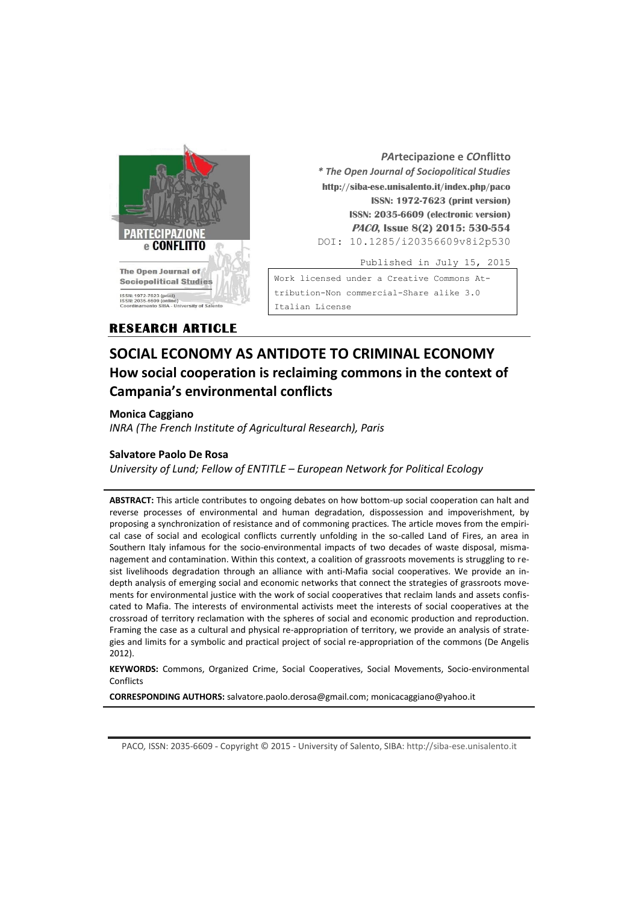

*PA***rtecipazione e** *CO***nflitto** *\* The Open Journal of Sociopolitical Studies* **http://siba-ese.unisalento.it/index.php/paco ISSN: 1972-7623 (print version) ISSN: 2035-6609 (electronic version) PACO, Issue 8(2) 2015: 530-554**  DOI: 10.1285/i20356609v8i2p530

Published in July 15, 2015

Work licensed under a [Creative Commons At](http://creativecommons.org/licenses/by-nc-nd/3.0/it/)tribution-Non [commercial-Share alike 3.0](http://creativecommons.org/licenses/by-nc-nd/3.0/it/)  [Italian License](http://creativecommons.org/licenses/by-nc-nd/3.0/it/) 

# **RESEARCH ARTICLE**

# **SOCIAL ECONOMY AS ANTIDOTE TO CRIMINAL ECONOMY How social cooperation is reclaiming commons in the context of Campania's environmental conflicts**

## **Monica Caggiano**

*INRA (The French Institute of Agricultural Research), Paris*

## **Salvatore Paolo De Rosa**

*University of Lund; Fellow of ENTITLE – European Network for Political Ecology*

**ABSTRACT:** This article contributes to ongoing debates on how bottom-up social cooperation can halt and reverse processes of environmental and human degradation, dispossession and impoverishment, by proposing a synchronization of resistance and of commoning practices*.* The article moves from the empirical case of social and ecological conflicts currently unfolding in the so-called Land of Fires, an area in Southern Italy infamous for the socio-environmental impacts of two decades of waste disposal, mismanagement and contamination. Within this context, a coalition of grassroots movements is struggling to resist livelihoods degradation through an alliance with anti-Mafia social cooperatives. We provide an indepth analysis of emerging social and economic networks that connect the strategies of grassroots movements for environmental justice with the work of social cooperatives that reclaim lands and assets confiscated to Mafia. The interests of environmental activists meet the interests of social cooperatives at the crossroad of territory reclamation with the spheres of social and economic production and reproduction. Framing the case as a cultural and physical re-appropriation of territory, we provide an analysis of strategies and limits for a symbolic and practical project of social re-appropriation of the commons (De Angelis 2012).

**KEYWORDS:** Commons, Organized Crime, Social Cooperatives, Social Movements, Socio-environmental **Conflicts** 

**CORRESPONDING AUTHORS:** salvatore.paolo.derosa@gmail.com; monicacaggiano@yahoo.it

PACO*,* ISSN: 2035-6609 - Copyright © 2015 - University of Salento, SIBA: http://siba-ese.unisalento.it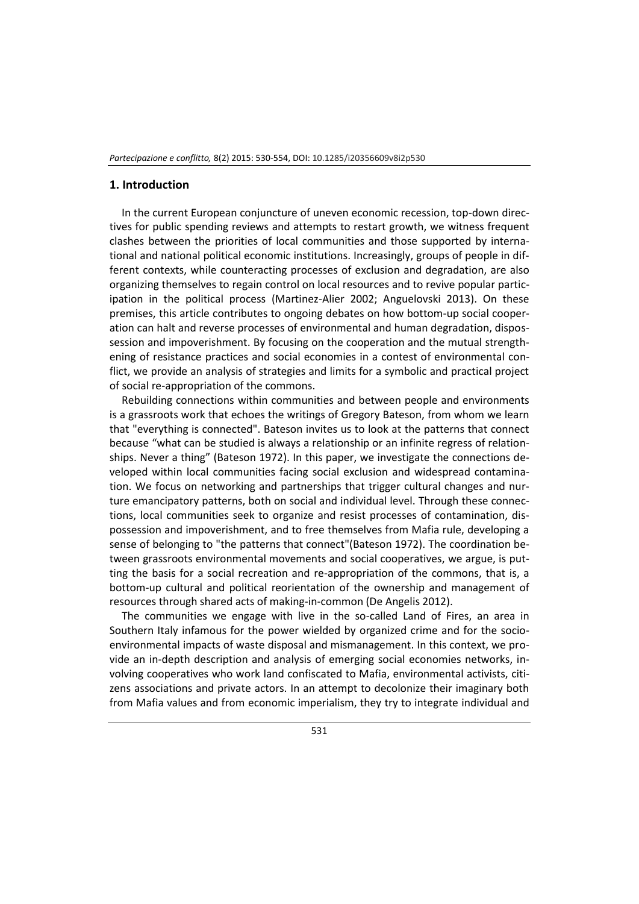#### **1. Introduction**

In the current European conjuncture of uneven economic recession, top-down directives for public spending reviews and attempts to restart growth, we witness frequent clashes between the priorities of local communities and those supported by international and national political economic institutions. Increasingly, groups of people in different contexts, while counteracting processes of exclusion and degradation, are also organizing themselves to regain control on local resources and to revive popular participation in the political process (Martinez-Alier 2002; Anguelovski 2013). On these premises, this article contributes to ongoing debates on how bottom-up social cooperation can halt and reverse processes of environmental and human degradation, dispossession and impoverishment. By focusing on the cooperation and the mutual strengthening of resistance practices and social economies in a contest of environmental conflict, we provide an analysis of strategies and limits for a symbolic and practical project of social re-appropriation of the commons.

Rebuilding connections within communities and between people and environments is a grassroots work that echoes the writings of Gregory Bateson, from whom we learn that "everything is connected". Bateson invites us to look at the patterns that connect because "what can be studied is always a relationship or an infinite regress of relationships. Never a thing" (Bateson 1972). In this paper, we investigate the connections developed within local communities facing social exclusion and widespread contamination. We focus on networking and partnerships that trigger cultural changes and nurture emancipatory patterns, both on social and individual level. Through these connections, local communities seek to organize and resist processes of contamination, dispossession and impoverishment, and to free themselves from Mafia rule, developing a sense of belonging to "the patterns that connect"(Bateson 1972). The coordination between grassroots environmental movements and social cooperatives, we argue, is putting the basis for a social recreation and re-appropriation of the commons, that is, a bottom-up cultural and political reorientation of the ownership and management of resources through shared acts of making-in-common (De Angelis 2012).

The communities we engage with live in the so-called Land of Fires, an area in Southern Italy infamous for the power wielded by organized crime and for the socioenvironmental impacts of waste disposal and mismanagement. In this context, we provide an in-depth description and analysis of emerging social economies networks, involving cooperatives who work land confiscated to Mafia, environmental activists, citizens associations and private actors. In an attempt to decolonize their imaginary both from Mafia values and from economic imperialism, they try to integrate individual and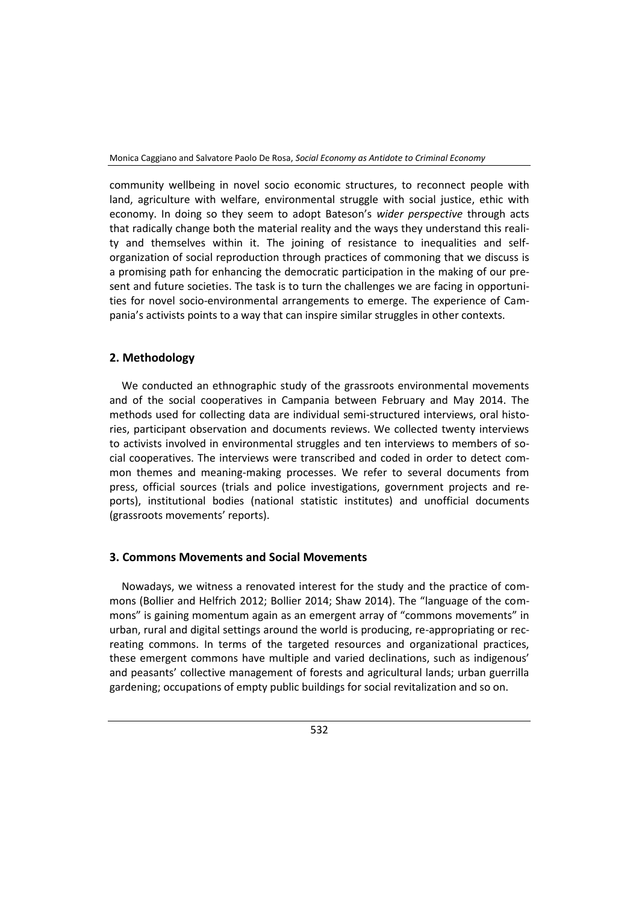community wellbeing in novel socio economic structures, to reconnect people with land, agriculture with welfare, environmental struggle with social justice, ethic with economy. In doing so they seem to adopt Bateson's *wider perspective* through acts that radically change both the material reality and the ways they understand this reality and themselves within it. The joining of resistance to inequalities and selforganization of social reproduction through practices of commoning that we discuss is a promising path for enhancing the democratic participation in the making of our present and future societies. The task is to turn the challenges we are facing in opportunities for novel socio-environmental arrangements to emerge. The experience of Campania's activists points to a way that can inspire similar struggles in other contexts.

## **2. Methodology**

We conducted an ethnographic study of the grassroots environmental movements and of the social cooperatives in Campania between February and May 2014. The methods used for collecting data are individual semi-structured interviews, oral histories, participant observation and documents reviews. We collected twenty interviews to activists involved in environmental struggles and ten interviews to members of social cooperatives. The interviews were transcribed and coded in order to detect common themes and meaning-making processes. We refer to several documents from press, official sources (trials and police investigations, government projects and reports), institutional bodies (national statistic institutes) and unofficial documents (grassroots movements' reports).

## **3. Commons Movements and Social Movements**

Nowadays, we witness a renovated interest for the study and the practice of commons (Bollier and Helfrich 2012; Bollier 2014; Shaw 2014). The "language of the commons" is gaining momentum again as an emergent array of "commons movements" in urban, rural and digital settings around the world is producing, re-appropriating or recreating commons. In terms of the targeted resources and organizational practices, these emergent commons have multiple and varied declinations, such as indigenous' and peasants' collective management of forests and agricultural lands; urban guerrilla gardening; occupations of empty public buildings for social revitalization and so on.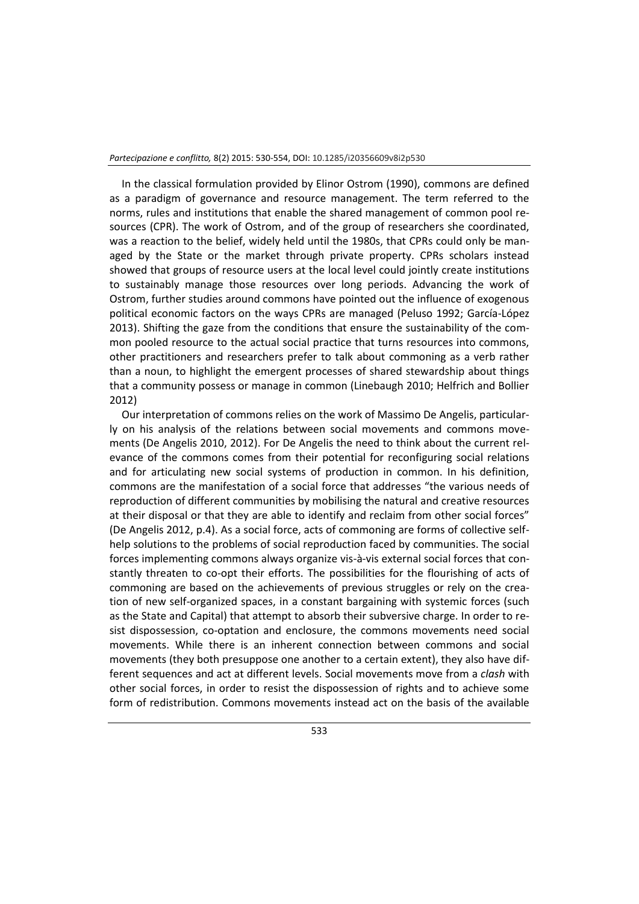In the classical formulation provided by Elinor Ostrom (1990), commons are defined as a paradigm of governance and resource management. The term referred to the norms, rules and institutions that enable the shared management of common pool resources (CPR). The work of Ostrom, and of the group of researchers she coordinated, was a reaction to the belief, widely held until the 1980s, that CPRs could only be managed by the State or the market through private property. CPRs scholars instead showed that groups of resource users at the local level could jointly create institutions to sustainably manage those resources over long periods. Advancing the work of Ostrom, further studies around commons have pointed out the influence of exogenous political economic factors on the ways CPRs are managed (Peluso 1992; García-López 2013). Shifting the gaze from the conditions that ensure the sustainability of the common pooled resource to the actual social practice that turns resources into commons, other practitioners and researchers prefer to talk about commoning as a verb rather than a noun, to highlight the emergent processes of shared stewardship about things that a community possess or manage in common (Linebaugh 2010; Helfrich and Bollier 2012)

Our interpretation of commons relies on the work of Massimo De Angelis, particularly on his analysis of the relations between social movements and commons movements (De Angelis 2010, 2012). For De Angelis the need to think about the current relevance of the commons comes from their potential for reconfiguring social relations and for articulating new social systems of production in common. In his definition, commons are the manifestation of a social force that addresses "the various needs of reproduction of different communities by mobilising the natural and creative resources at their disposal or that they are able to identify and reclaim from other social forces" (De Angelis 2012, p.4). As a social force, acts of commoning are forms of collective selfhelp solutions to the problems of social reproduction faced by communities. The social forces implementing commons always organize vis-à-vis external social forces that constantly threaten to co-opt their efforts. The possibilities for the flourishing of acts of commoning are based on the achievements of previous struggles or rely on the creation of new self-organized spaces, in a constant bargaining with systemic forces (such as the State and Capital) that attempt to absorb their subversive charge. In order to resist dispossession, co-optation and enclosure, the commons movements need social movements. While there is an inherent connection between commons and social movements (they both presuppose one another to a certain extent), they also have different sequences and act at different levels. Social movements move from a *clash* with other social forces, in order to resist the dispossession of rights and to achieve some form of redistribution. Commons movements instead act on the basis of the available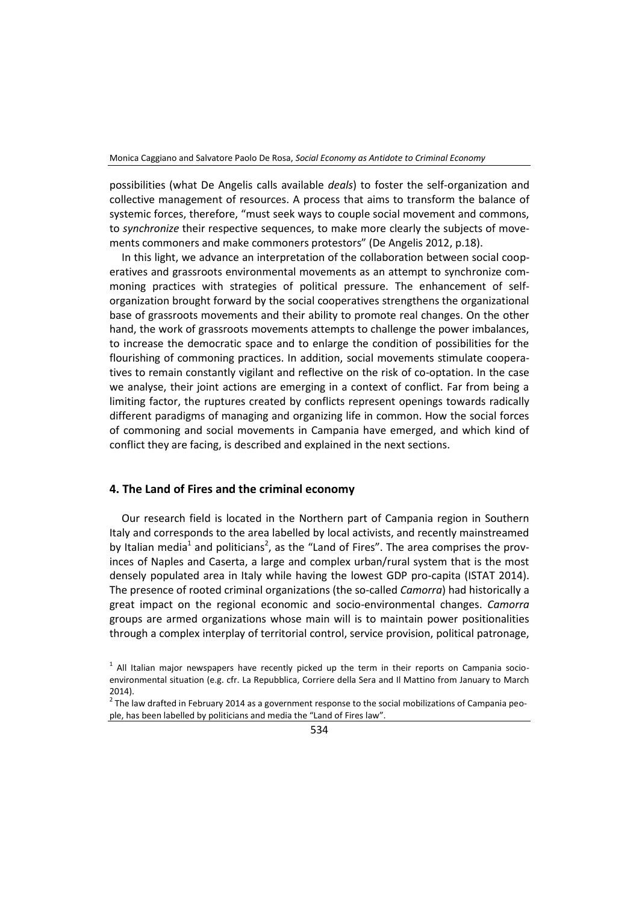possibilities (what De Angelis calls available *deals*) to foster the self-organization and collective management of resources. A process that aims to transform the balance of systemic forces, therefore, "must seek ways to couple social movement and commons, to *synchronize* their respective sequences, to make more clearly the subjects of movements commoners and make commoners protestors" (De Angelis 2012, p.18).

In this light, we advance an interpretation of the collaboration between social cooperatives and grassroots environmental movements as an attempt to synchronize commoning practices with strategies of political pressure. The enhancement of selforganization brought forward by the social cooperatives strengthens the organizational base of grassroots movements and their ability to promote real changes. On the other hand, the work of grassroots movements attempts to challenge the power imbalances, to increase the democratic space and to enlarge the condition of possibilities for the flourishing of commoning practices. In addition, social movements stimulate cooperatives to remain constantly vigilant and reflective on the risk of co-optation. In the case we analyse, their joint actions are emerging in a context of conflict. Far from being a limiting factor, the ruptures created by conflicts represent openings towards radically different paradigms of managing and organizing life in common. How the social forces of commoning and social movements in Campania have emerged, and which kind of conflict they are facing, is described and explained in the next sections.

### **4. The Land of Fires and the criminal economy**

Our research field is located in the Northern part of Campania region in Southern Italy and corresponds to the area labelled by local activists, and recently mainstreamed by Italian media<sup>1</sup> and politicians<sup>2</sup>, as the "Land of Fires". The area comprises the provinces of Naples and Caserta, a large and complex urban/rural system that is the most densely populated area in Italy while having the lowest GDP pro-capita (ISTAT 2014). The presence of rooted criminal organizations (the so-called *Camorra*) had historically a great impact on the regional economic and socio-environmental changes. *Camorra* groups are armed organizations whose main will is to maintain power positionalities through a complex interplay of territorial control, service provision, political patronage,

 $<sup>1</sup>$  All Italian major newspapers have recently picked up the term in their reports on Campania socio-</sup> environmental situation (e.g. cfr. La Repubblica, Corriere della Sera and Il Mattino from January to March 2014).

 $2$  The law drafted in February 2014 as a government response to the social mobilizations of Campania people, has been labelled by politicians and media the "Land of Fires law".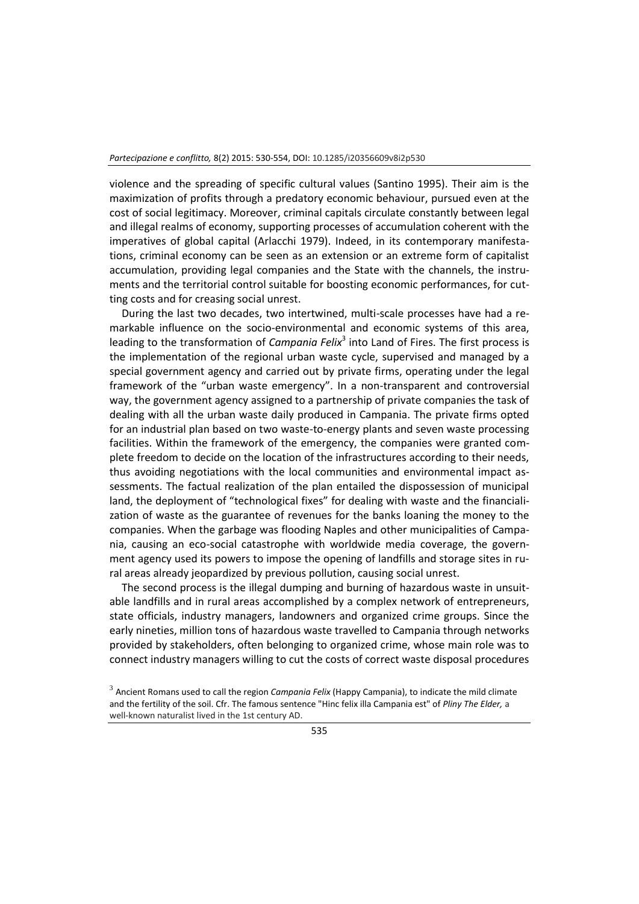violence and the spreading of specific cultural values (Santino 1995). Their aim is the maximization of profits through a predatory economic behaviour, pursued even at the cost of social legitimacy. Moreover, criminal capitals circulate constantly between legal and illegal realms of economy, supporting processes of accumulation coherent with the imperatives of global capital (Arlacchi 1979). Indeed, in its contemporary manifestations, criminal economy can be seen as an extension or an extreme form of capitalist accumulation, providing legal companies and the State with the channels, the instruments and the territorial control suitable for boosting economic performances, for cutting costs and for creasing social unrest.

During the last two decades, two intertwined, multi-scale processes have had a remarkable influence on the socio-environmental and economic systems of this area, leading to the transformation of *Campania Felix*<sup>3</sup> into Land of Fires. The first process is the implementation of the regional urban waste cycle, supervised and managed by a special government agency and carried out by private firms, operating under the legal framework of the "urban waste emergency". In a non-transparent and controversial way, the government agency assigned to a partnership of private companies the task of dealing with all the urban waste daily produced in Campania. The private firms opted for an industrial plan based on two waste-to-energy plants and seven waste processing facilities. Within the framework of the emergency, the companies were granted complete freedom to decide on the location of the infrastructures according to their needs, thus avoiding negotiations with the local communities and environmental impact assessments. The factual realization of the plan entailed the dispossession of municipal land, the deployment of "technological fixes" for dealing with waste and the financialization of waste as the guarantee of revenues for the banks loaning the money to the companies. When the garbage was flooding Naples and other municipalities of Campania, causing an eco-social catastrophe with worldwide media coverage, the government agency used its powers to impose the opening of landfills and storage sites in rural areas already jeopardized by previous pollution, causing social unrest.

The second process is the illegal dumping and burning of hazardous waste in unsuitable landfills and in rural areas accomplished by a complex network of entrepreneurs, state officials, industry managers, landowners and organized crime groups. Since the early nineties, million tons of hazardous waste travelled to Campania through networks provided by stakeholders, often belonging to organized crime, whose main role was to connect industry managers willing to cut the costs of correct waste disposal procedures

<sup>3</sup> Ancient Romans used to call the region *Campania Felix* (Happy Campania), to indicate the mild climate and the fertility of the soil. Cfr. The famous sentence "Hinc felix illa Campania est" of *Pliny The Elder,* a well-known naturalist lived in the 1st century AD.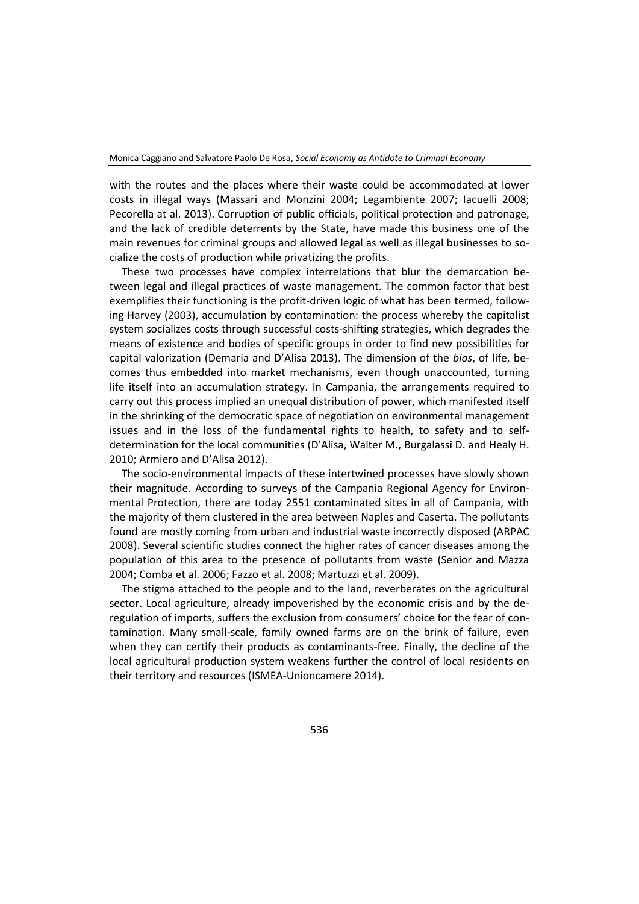with the routes and the places where their waste could be accommodated at lower costs in illegal ways (Massari and Monzini 2004; Legambiente 2007; Iacuelli 2008; Pecorella at al. 2013). Corruption of public officials, political protection and patronage, and the lack of credible deterrents by the State, have made this business one of the main revenues for criminal groups and allowed legal as well as illegal businesses to socialize the costs of production while privatizing the profits.

These two processes have complex interrelations that blur the demarcation between legal and illegal practices of waste management. The common factor that best exemplifies their functioning is the profit-driven logic of what has been termed, following Harvey (2003), accumulation by contamination: the process whereby the capitalist system socializes costs through successful costs-shifting strategies, which degrades the means of existence and bodies of specific groups in order to find new possibilities for capital valorization (Demaria and D'Alisa 2013). The dimension of the *bios*, of life, becomes thus embedded into market mechanisms, even though unaccounted, turning life itself into an accumulation strategy. In Campania, the arrangements required to carry out this process implied an unequal distribution of power, which manifested itself in the shrinking of the democratic space of negotiation on environmental management issues and in the loss of the fundamental rights to health, to safety and to selfdetermination for the local communities (D'Alisa, Walter M., Burgalassi D. and Healy H. 2010; Armiero and D'Alisa 2012).

The socio-environmental impacts of these intertwined processes have slowly shown their magnitude. According to surveys of the Campania Regional Agency for Environmental Protection, there are today 2551 contaminated sites in all of Campania, with the majority of them clustered in the area between Naples and Caserta. The pollutants found are mostly coming from urban and industrial waste incorrectly disposed (ARPAC 2008). Several scientific studies connect the higher rates of cancer diseases among the population of this area to the presence of pollutants from waste (Senior and Mazza 2004; Comba et al. 2006; Fazzo et al. 2008; Martuzzi et al. 2009).

The stigma attached to the people and to the land, reverberates on the agricultural sector. Local agriculture, already impoverished by the economic crisis and by the deregulation of imports, suffers the exclusion from consumers' choice for the fear of contamination. Many small-scale, family owned farms are on the brink of failure, even when they can certify their products as contaminants-free. Finally, the decline of the local agricultural production system weakens further the control of local residents on their territory and resources (ISMEA‐Unioncamere 2014).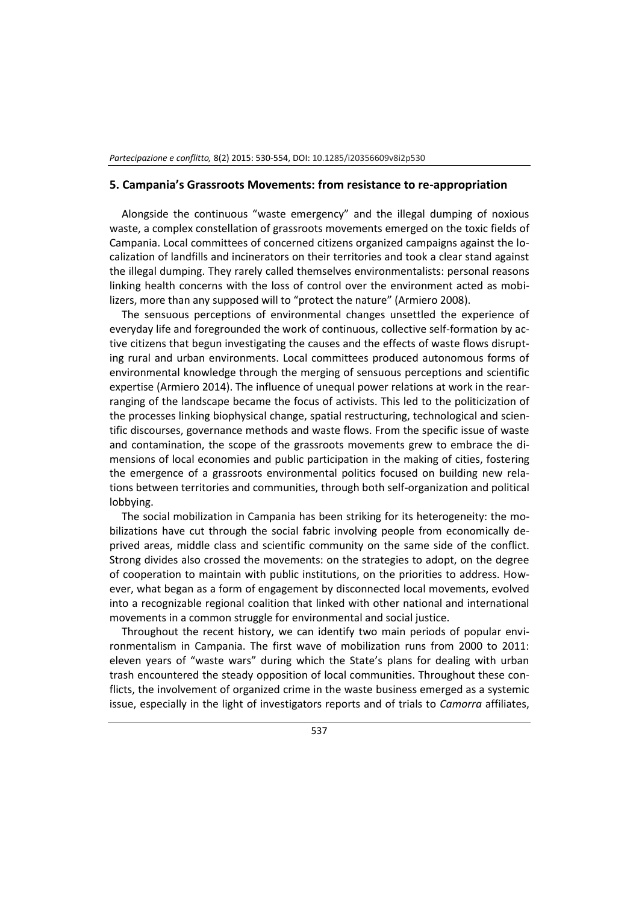#### **5. Campania's Grassroots Movements: from resistance to re-appropriation**

Alongside the continuous "waste emergency" and the illegal dumping of noxious waste, a complex constellation of grassroots movements emerged on the toxic fields of Campania. Local committees of concerned citizens organized campaigns against the localization of landfills and incinerators on their territories and took a clear stand against the illegal dumping. They rarely called themselves environmentalists: personal reasons linking health concerns with the loss of control over the environment acted as mobilizers, more than any supposed will to "protect the nature" (Armiero 2008).

The sensuous perceptions of environmental changes unsettled the experience of everyday life and foregrounded the work of continuous, collective self-formation by active citizens that begun investigating the causes and the effects of waste flows disrupting rural and urban environments. Local committees produced autonomous forms of environmental knowledge through the merging of sensuous perceptions and scientific expertise (Armiero 2014). The influence of unequal power relations at work in the rearranging of the landscape became the focus of activists. This led to the politicization of the processes linking biophysical change, spatial restructuring, technological and scientific discourses, governance methods and waste flows. From the specific issue of waste and contamination, the scope of the grassroots movements grew to embrace the dimensions of local economies and public participation in the making of cities, fostering the emergence of a grassroots environmental politics focused on building new relations between territories and communities, through both self-organization and political lobbying.

The social mobilization in Campania has been striking for its heterogeneity: the mobilizations have cut through the social fabric involving people from economically deprived areas, middle class and scientific community on the same side of the conflict. Strong divides also crossed the movements: on the strategies to adopt, on the degree of cooperation to maintain with public institutions, on the priorities to address. However, what began as a form of engagement by disconnected local movements, evolved into a recognizable regional coalition that linked with other national and international movements in a common struggle for environmental and social justice.

Throughout the recent history, we can identify two main periods of popular environmentalism in Campania. The first wave of mobilization runs from 2000 to 2011: eleven years of "waste wars" during which the State's plans for dealing with urban trash encountered the steady opposition of local communities. Throughout these conflicts, the involvement of organized crime in the waste business emerged as a systemic issue, especially in the light of investigators reports and of trials to *Camorra* affiliates,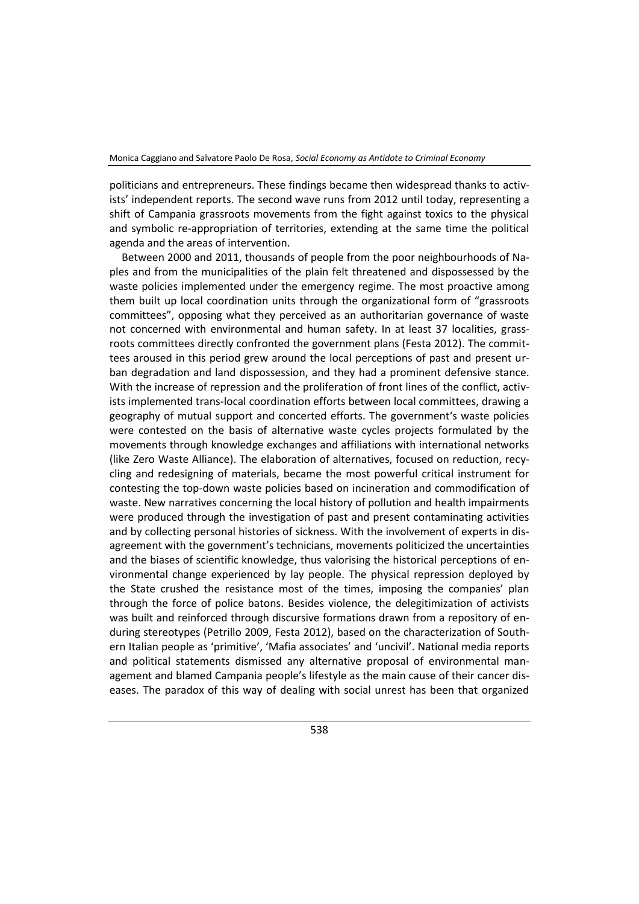politicians and entrepreneurs. These findings became then widespread thanks to activists' independent reports. The second wave runs from 2012 until today, representing a shift of Campania grassroots movements from the fight against toxics to the physical and symbolic re-appropriation of territories, extending at the same time the political agenda and the areas of intervention.

Between 2000 and 2011, thousands of people from the poor neighbourhoods of Naples and from the municipalities of the plain felt threatened and dispossessed by the waste policies implemented under the emergency regime. The most proactive among them built up local coordination units through the organizational form of "grassroots committees", opposing what they perceived as an authoritarian governance of waste not concerned with environmental and human safety. In at least 37 localities, grassroots committees directly confronted the government plans (Festa 2012). The committees aroused in this period grew around the local perceptions of past and present urban degradation and land dispossession, and they had a prominent defensive stance. With the increase of repression and the proliferation of front lines of the conflict, activists implemented trans-local coordination efforts between local committees, drawing a geography of mutual support and concerted efforts. The government's waste policies were contested on the basis of alternative waste cycles projects formulated by the movements through knowledge exchanges and affiliations with international networks (like Zero Waste Alliance). The elaboration of alternatives, focused on reduction, recycling and redesigning of materials, became the most powerful critical instrument for contesting the top-down waste policies based on incineration and commodification of waste. New narratives concerning the local history of pollution and health impairments were produced through the investigation of past and present contaminating activities and by collecting personal histories of sickness. With the involvement of experts in disagreement with the government's technicians, movements politicized the uncertainties and the biases of scientific knowledge, thus valorising the historical perceptions of environmental change experienced by lay people. The physical repression deployed by the State crushed the resistance most of the times, imposing the companies' plan through the force of police batons. Besides violence, the delegitimization of activists was built and reinforced through discursive formations drawn from a repository of enduring stereotypes (Petrillo 2009, Festa 2012), based on the characterization of Southern Italian people as 'primitive', 'Mafia associates' and 'uncivil'. National media reports and political statements dismissed any alternative proposal of environmental management and blamed Campania people's lifestyle as the main cause of their cancer diseases. The paradox of this way of dealing with social unrest has been that organized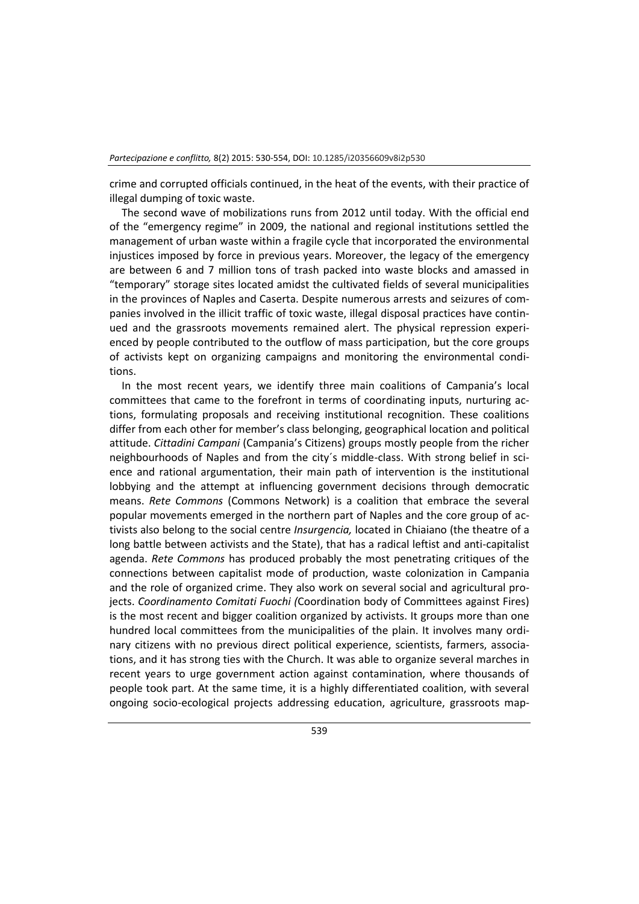crime and corrupted officials continued, in the heat of the events, with their practice of illegal dumping of toxic waste.

The second wave of mobilizations runs from 2012 until today. With the official end of the "emergency regime" in 2009, the national and regional institutions settled the management of urban waste within a fragile cycle that incorporated the environmental injustices imposed by force in previous years. Moreover, the legacy of the emergency are between 6 and 7 million tons of trash packed into waste blocks and amassed in "temporary" storage sites located amidst the cultivated fields of several municipalities in the provinces of Naples and Caserta. Despite numerous arrests and seizures of companies involved in the illicit traffic of toxic waste, illegal disposal practices have continued and the grassroots movements remained alert. The physical repression experienced by people contributed to the outflow of mass participation, but the core groups of activists kept on organizing campaigns and monitoring the environmental conditions.

In the most recent years, we identify three main coalitions of Campania's local committees that came to the forefront in terms of coordinating inputs, nurturing actions, formulating proposals and receiving institutional recognition. These coalitions differ from each other for member's class belonging, geographical location and political attitude. *Cittadini Campani* (Campania's Citizens) groups mostly people from the richer neighbourhoods of Naples and from the city´s middle-class. With strong belief in science and rational argumentation, their main path of intervention is the institutional lobbying and the attempt at influencing government decisions through democratic means. *Rete Commons* (Commons Network) is a coalition that embrace the several popular movements emerged in the northern part of Naples and the core group of activists also belong to the social centre *Insurgencia,* located in Chiaiano (the theatre of a long battle between activists and the State), that has a radical leftist and anti-capitalist agenda. *Rete Commons* has produced probably the most penetrating critiques of the connections between capitalist mode of production, waste colonization in Campania and the role of organized crime. They also work on several social and agricultural projects. *Coordinamento Comitati Fuochi (*Coordination body of Committees against Fires) is the most recent and bigger coalition organized by activists. It groups more than one hundred local committees from the municipalities of the plain. It involves many ordinary citizens with no previous direct political experience, scientists, farmers, associations, and it has strong ties with the Church. It was able to organize several marches in recent years to urge government action against contamination, where thousands of people took part. At the same time, it is a highly differentiated coalition, with several ongoing socio-ecological projects addressing education, agriculture, grassroots map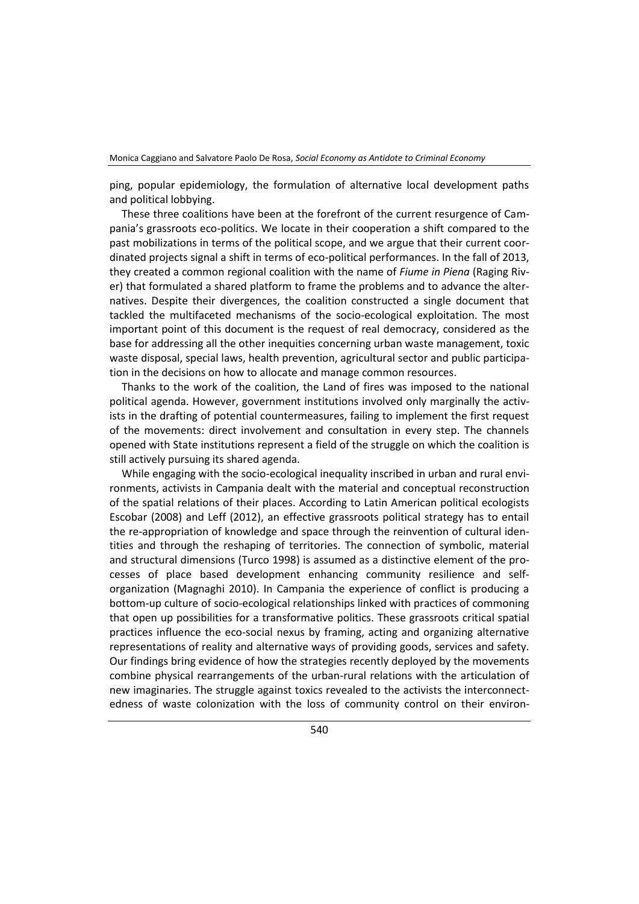ping, popular epidemiology, the formulation of alternative local development paths and political lobbying.

These three coalitions have been at the forefront of the current resurgence of Campania's grassroots eco-politics. We locate in their cooperation a shift compared to the past mobilizations in terms of the political scope, and we argue that their current coordinated projects signal a shift in terms of eco-political performances. In the fall of 2013, they created a common regional coalition with the name of *Fiume in Piena* (Raging River) that formulated a shared platform to frame the problems and to advance the alternatives. Despite their divergences, the coalition constructed a single document that tackled the multifaceted mechanisms of the socio-ecological exploitation. The most important point of this document is the request of real democracy, considered as the base for addressing all the other inequities concerning urban waste management, toxic waste disposal, special laws, health prevention, agricultural sector and public participation in the decisions on how to allocate and manage common resources.

Thanks to the work of the coalition, the Land of fires was imposed to the national political agenda. However, government institutions involved only marginally the activists in the drafting of potential countermeasures, failing to implement the first request of the movements: direct involvement and consultation in every step. The channels opened with State institutions represent a field of the struggle on which the coalition is still actively pursuing its shared agenda.

While engaging with the socio-ecological inequality inscribed in urban and rural environments, activists in Campania dealt with the material and conceptual reconstruction of the spatial relations of their places. According to Latin American political ecologists Escobar (2008) and Leff (2012), an effective grassroots political strategy has to entail the re-appropriation of knowledge and space through the reinvention of cultural identities and through the reshaping of territories. The connection of symbolic, material and structural dimensions (Turco 1998) is assumed as a distinctive element of the processes of place based development enhancing community resilience and selforganization (Magnaghi 2010). In Campania the experience of conflict is producing a bottom-up culture of socio-ecological relationships linked with practices of commoning that open up possibilities for a transformative politics. These grassroots critical spatial practices influence the eco-social nexus by framing, acting and organizing alternative representations of reality and alternative ways of providing goods, services and safety. Our findings bring evidence of how the strategies recently deployed by the movements combine physical rearrangements of the urban-rural relations with the articulation of new imaginaries. The struggle against toxics revealed to the activists the interconnectedness of waste colonization with the loss of community control on their environ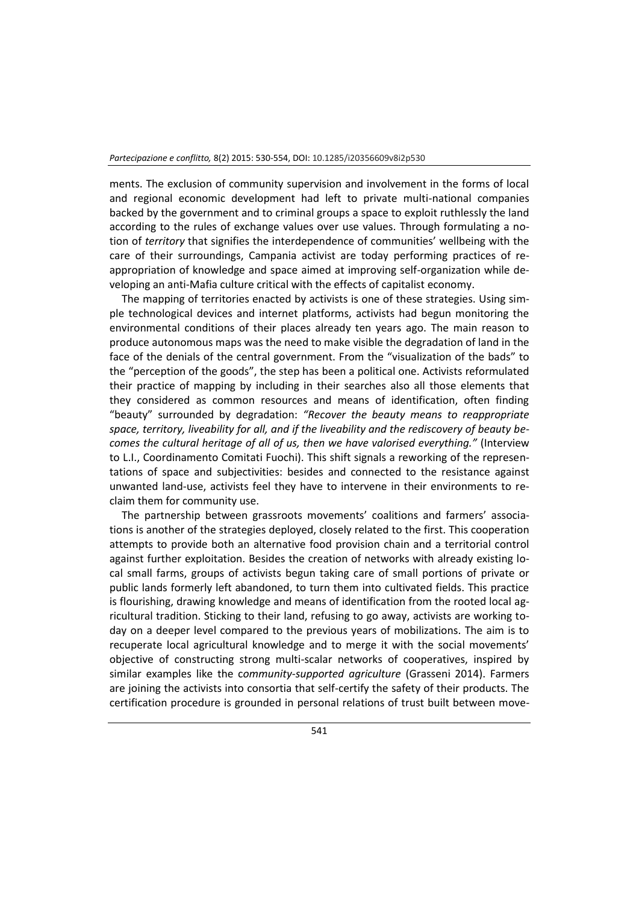ments. The exclusion of community supervision and involvement in the forms of local and regional economic development had left to private multi-national companies backed by the government and to criminal groups a space to exploit ruthlessly the land according to the rules of exchange values over use values. Through formulating a notion of *territory* that signifies the interdependence of communities' wellbeing with the care of their surroundings, Campania activist are today performing practices of reappropriation of knowledge and space aimed at improving self-organization while developing an anti-Mafia culture critical with the effects of capitalist economy.

The mapping of territories enacted by activists is one of these strategies. Using simple technological devices and internet platforms, activists had begun monitoring the environmental conditions of their places already ten years ago. The main reason to produce autonomous maps was the need to make visible the degradation of land in the face of the denials of the central government. From the "visualization of the bads" to the "perception of the goods", the step has been a political one. Activists reformulated their practice of mapping by including in their searches also all those elements that they considered as common resources and means of identification, often finding "beauty" surrounded by degradation: *"Recover the beauty means to reappropriate space, territory, liveability for all, and if the liveability and the rediscovery of beauty becomes the cultural heritage of all of us, then we have valorised everything."* (Interview to L.I., Coordinamento Comitati Fuochi). This shift signals a reworking of the representations of space and subjectivities: besides and connected to the resistance against unwanted land-use, activists feel they have to intervene in their environments to reclaim them for community use.

The partnership between grassroots movements' coalitions and farmers' associations is another of the strategies deployed, closely related to the first. This cooperation attempts to provide both an alternative food provision chain and a territorial control against further exploitation. Besides the creation of networks with already existing local small farms, groups of activists begun taking care of small portions of private or public lands formerly left abandoned, to turn them into cultivated fields. This practice is flourishing, drawing knowledge and means of identification from the rooted local agricultural tradition. Sticking to their land, refusing to go away, activists are working today on a deeper level compared to the previous years of mobilizations. The aim is to recuperate local agricultural knowledge and to merge it with the social movements' objective of constructing strong multi-scalar networks of cooperatives, inspired by similar examples like the c*ommunity*-*supported agriculture* (Grasseni 2014). Farmers are joining the activists into consortia that self-certify the safety of their products. The certification procedure is grounded in personal relations of trust built between move-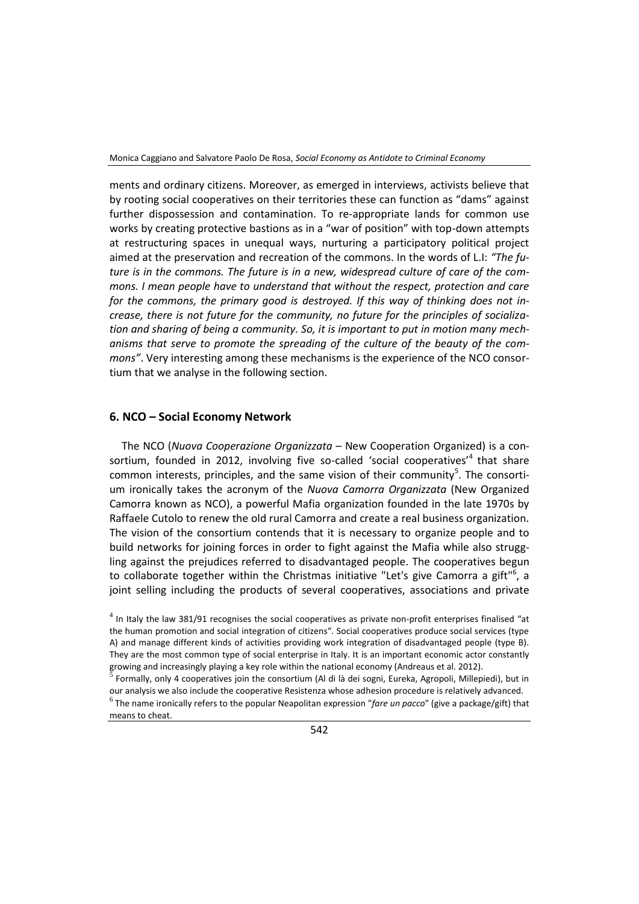ments and ordinary citizens. Moreover, as emerged in interviews, activists believe that by rooting social cooperatives on their territories these can function as "dams" against further dispossession and contamination. To re-appropriate lands for common use works by creating protective bastions as in a "war of position" with top-down attempts at restructuring spaces in unequal ways, nurturing a participatory political project aimed at the preservation and recreation of the commons. In the words of L.I: *"The future is in the commons. The future is in a new, widespread culture of care of the commons. I mean people have to understand that without the respect, protection and care for the commons, the primary good is destroyed. If this way of thinking does not increase, there is not future for the community, no future for the principles of socialization and sharing of being a community. So, it is important to put in motion many mechanisms that serve to promote the spreading of the culture of the beauty of the commons"*. Very interesting among these mechanisms is the experience of the NCO consortium that we analyse in the following section.

## **6. NCO – Social Economy Network**

The NCO (*Nuova Cooperazione Organizzata* – New Cooperation Organized) is a consortium, founded in 2012, involving five so-called 'social cooperatives'<sup>4</sup> that share common interests, principles, and the same vision of their community<sup>5</sup>. The consortium ironically takes the acronym of the *Nuova Camorra Organizzata* (New Organized Camorra known as NCO), a powerful Mafia organization founded in the late 1970s by Raffaele Cutolo to renew the old rural Camorra and create a real business organization. The vision of the consortium contends that it is necessary to organize people and to build networks for joining forces in order to fight against the Mafia while also struggling against the prejudices referred to disadvantaged people. The cooperatives begun to collaborate together within the Christmas initiative "Let's give Camorra a gift"<sup>6</sup>, a joint selling including the products of several cooperatives, associations and private

means to cheat.

 $<sup>4</sup>$  In Italy the law 381/91 recognises the social cooperatives as private non-profit enterprises finalised "at</sup> the human promotion and social integration of citizens". Social cooperatives produce social services (type A) and manage different kinds of activities providing work integration of disadvantaged people (type B). They are the most common type of social enterprise in Italy. It is an important economic actor constantly growing and increasingly playing a key role within the national economy (Andreaus et al. 2012).<br>5 Easterly, agly 4 economiciae is in the expectives (Al di là dei easti. Evrely, Associali, Millan

Formally, only 4 cooperatives join the consortium (Al di là dei sogni, Eureka, Agropoli, Millepiedi), but in our analysis we also include the cooperative Resistenza whose adhesion procedure is relatively advanced. 6 The name ironically refers to the popular Neapolitan expression "*fare un pacco*" (give a package/gift) that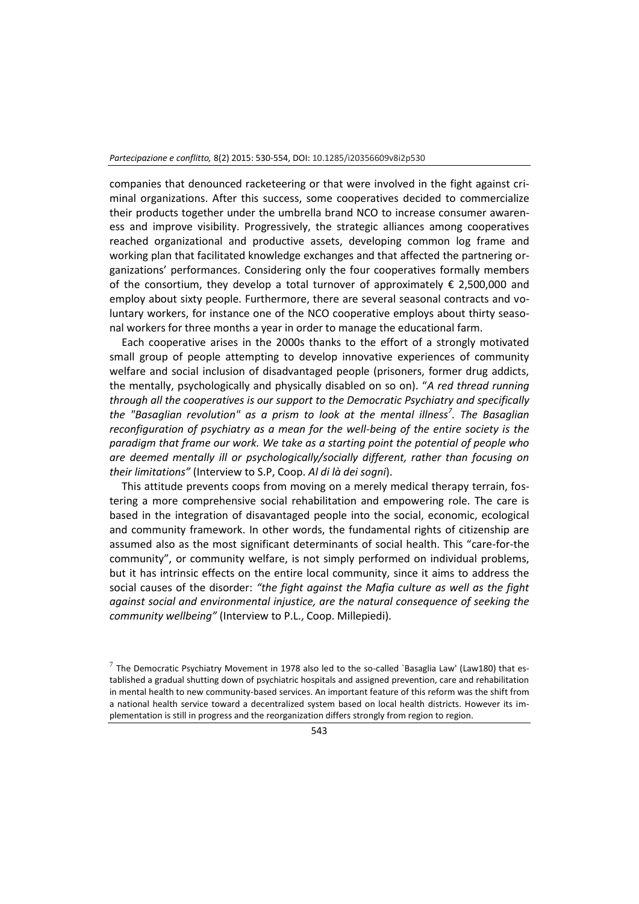companies that denounced racketeering or that were involved in the fight against criminal organizations. After this success, some cooperatives decided to commercialize their products together under the umbrella brand NCO to increase consumer awareness and improve visibility. Progressively, the strategic alliances among cooperatives reached organizational and productive assets, developing common log frame and working plan that facilitated knowledge exchanges and that affected the partnering organizations' performances. Considering only the four cooperatives formally members of the consortium, they develop a total turnover of approximately  $\epsilon$  2,500,000 and employ about sixty people. Furthermore, there are several seasonal contracts and voluntary workers, for instance one of the NCO cooperative employs about thirty seasonal workers for three months a year in order to manage the educational farm.

Each cooperative arises in the 2000s thanks to the effort of a strongly motivated small group of people attempting to develop innovative experiences of community welfare and social inclusion of disadvantaged people (prisoners, former drug addicts, the mentally, psychologically and physically disabled on so on). "*A red thread running through all the cooperatives is our support to the Democratic Psychiatry and specifically the "Basaglian revolution" as a prism to look at the mental illness<sup>7</sup> . The Basaglian reconfiguration of psychiatry as a mean for the well-being of the entire society is the paradigm that frame our work. We take as a starting point the potential of people who are deemed mentally ill or psychologically/socially different, rather than focusing on their limitations"* (Interview to S.P, Coop. *Al di là dei sogni*).

This attitude prevents coops from moving on a merely medical therapy terrain, fostering a more comprehensive social rehabilitation and empowering role. The care is based in the integration of disavantaged people into the social, economic, ecological and community framework. In other words, the fundamental rights of citizenship are assumed also as the most significant determinants of social health. This "care-for-the community", or community welfare, is not simply performed on individual problems, but it has intrinsic effects on the entire local community, since it aims to address the social causes of the disorder: *"the fight against the Mafia culture as well as the fight against social and environmental injustice, are the natural consequence of seeking the community wellbeing"* (Interview to P.L., Coop. Millepiedi).

 $^7$  The Democratic Psychiatry Movement in 1978 also led to the so-called `Basaglia Law' (Law180) that established a gradual shutting down of psychiatric hospitals and assigned prevention, care and rehabilitation in mental health to new community-based services. An important feature of this reform was the shift from a national health service toward a decentralized system based on local health districts. However its implementation is still in progress and the reorganization differs strongly from region to region.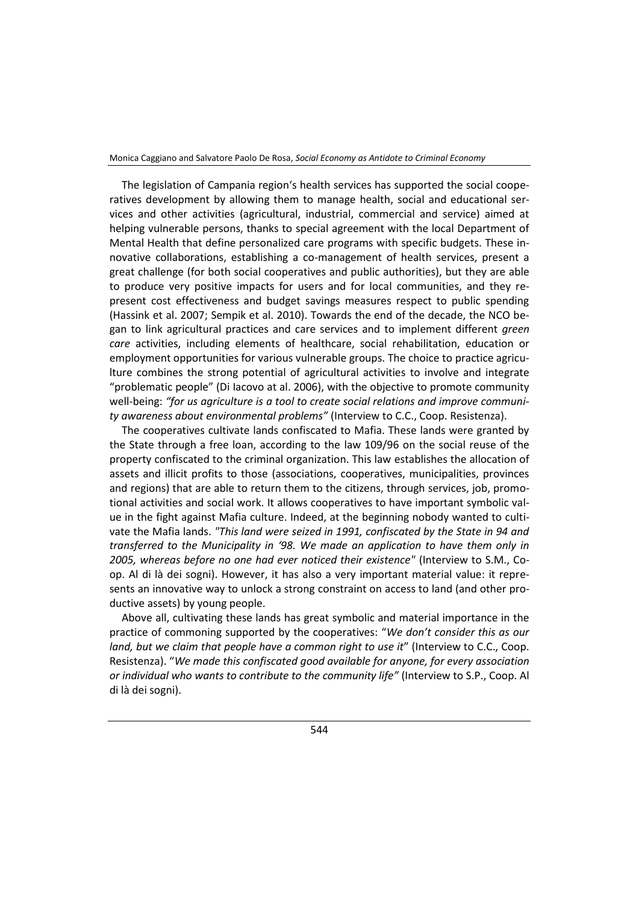The legislation of Campania region's health services has supported the social cooperatives development by allowing them to manage health, social and educational services and other activities (agricultural, industrial, commercial and service) aimed at helping vulnerable persons, thanks to special agreement with the local Department of Mental Health that define personalized care programs with specific budgets. These innovative collaborations, establishing a co-management of health services, present a great challenge (for both social cooperatives and public authorities), but they are able to produce very positive impacts for users and for local communities, and they represent cost effectiveness and budget savings measures respect to public spending (Hassink et al. 2007; Sempik et al. 2010). Towards the end of the decade, the NCO began to link agricultural practices and care services and to implement different *green care* activities, including elements of healthcare, social rehabilitation, education or employment opportunities for various vulnerable groups. The choice to practice agriculture combines the strong potential of agricultural activities to involve and integrate "problematic people" (Di Iacovo at al. 2006), with the objective to promote community well-being: *"for us agriculture is a tool to create social relations and improve community awareness about environmental problems"* (Interview to C.C., Coop. Resistenza).

The cooperatives cultivate lands confiscated to Mafia. These lands were granted by the State through a free loan, according to the law 109/96 on the social reuse of the property confiscated to the criminal organization. This law establishes the allocation of assets and illicit profits to those (associations, cooperatives, municipalities, provinces and regions) that are able to return them to the citizens, through services, job, promotional activities and social work. It allows cooperatives to have important symbolic value in the fight against Mafia culture. Indeed, at the beginning nobody wanted to cultivate the Mafia lands. *"This land were seized in 1991, confiscated by the State in 94 and transferred to the Municipality in '98. We made an application to have them only in 2005, whereas before no one had ever noticed their existence"* (Interview to S.M., Coop. Al di là dei sogni). However, it has also a very important material value: it represents an innovative way to unlock a strong constraint on access to land (and other productive assets) by young people.

Above all, cultivating these lands has great symbolic and material importance in the practice of commoning supported by the cooperatives: "*We don't consider this as our land, but we claim that people have a common right to use it*" (Interview to C.C., Coop. Resistenza). "*We made this confiscated good available for anyone, for every association or individual who wants to contribute to the community life"* (Interview to S.P., Coop. Al di là dei sogni).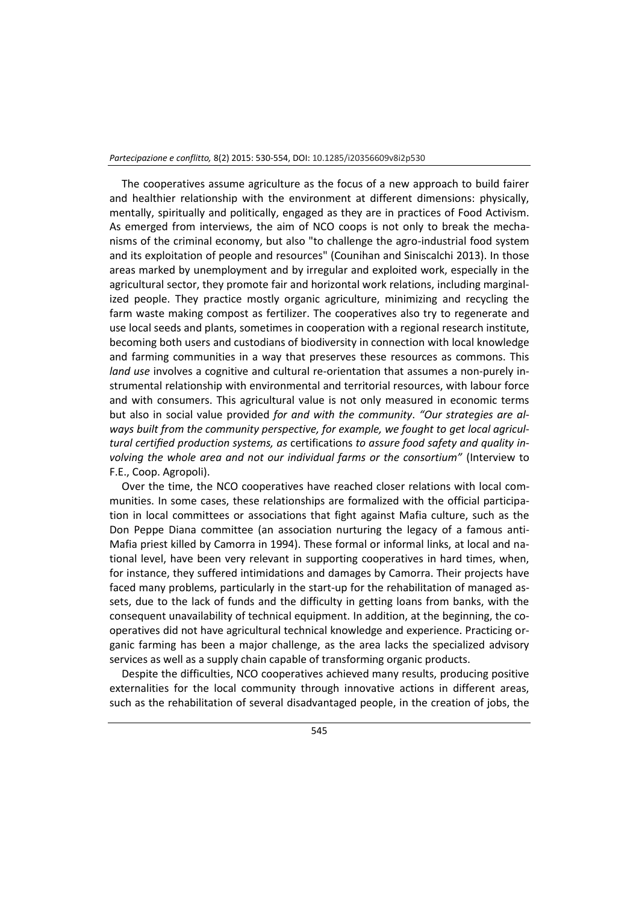The cooperatives assume agriculture as the focus of a new approach to build fairer and healthier relationship with the environment at different dimensions: physically, mentally, spiritually and politically, engaged as they are in practices of Food Activism. As emerged from interviews, the aim of NCO coops is not only to break the mechanisms of the criminal economy, but also "to challenge the agro-industrial food system and its exploitation of people and resources" (Counihan and Siniscalchi 2013). In those areas marked by unemployment and by irregular and exploited work, especially in the agricultural sector, they promote fair and horizontal work relations, including marginalized people. They practice mostly organic agriculture, minimizing and recycling the farm waste making compost as fertilizer. The cooperatives also try to regenerate and use local seeds and plants, sometimes in cooperation with a regional research institute, becoming both users and custodians of biodiversity in connection with local knowledge and farming communities in a way that preserves these resources as commons. This *land use* involves a cognitive and cultural re-orientation that assumes a non-purely instrumental relationship with environmental and territorial resources, with labour force and with consumers. This agricultural value is not only measured in economic terms but also in social value provided *for and with the community*. *"Our strategies are al*ways built from the community perspective, for example, we fought to get local agricul*tural certified production systems, as* certifications *to assure food safety and quality involving the whole area and not our individual farms or the consortium"* (Interview to F.E., Coop. Agropoli).

Over the time, the NCO cooperatives have reached closer relations with local communities. In some cases, these relationships are formalized with the official participation in local committees or associations that fight against Mafia culture, such as the Don Peppe Diana committee (an association nurturing the legacy of a famous anti-Mafia priest killed by Camorra in 1994). These formal or informal links, at local and national level, have been very relevant in supporting cooperatives in hard times, when, for instance, they suffered intimidations and damages by Camorra. Their projects have faced many problems, particularly in the start-up for the rehabilitation of managed assets, due to the lack of funds and the difficulty in getting loans from banks, with the consequent unavailability of technical equipment. In addition, at the beginning, the cooperatives did not have agricultural technical knowledge and experience. Practicing organic farming has been a major challenge, as the area lacks the specialized advisory services as well as a supply chain capable of transforming organic products.

Despite the difficulties, NCO cooperatives achieved many results, producing positive externalities for the local community through innovative actions in different areas, such as the rehabilitation of several disadvantaged people, in the creation of jobs, the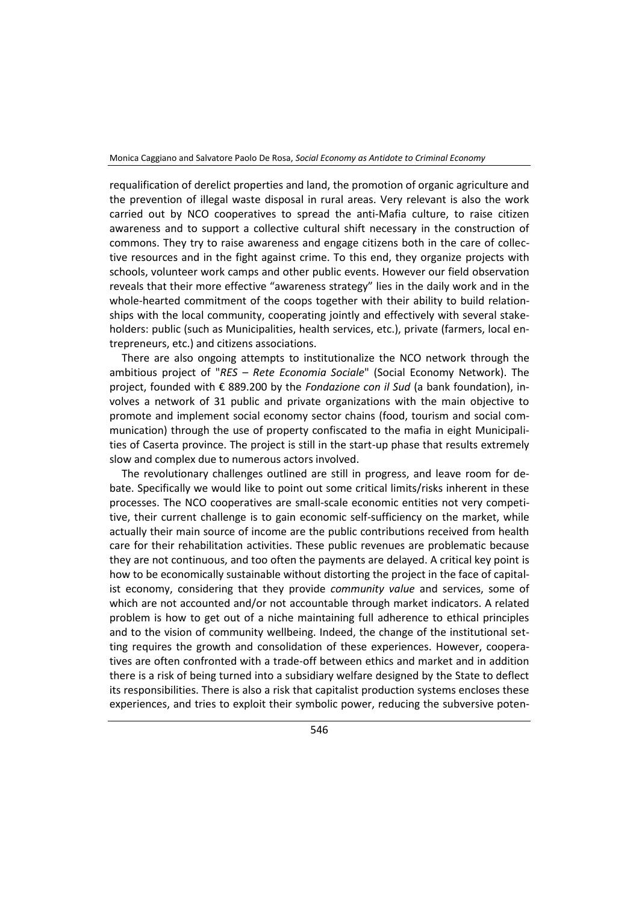requalification of derelict properties and land, the promotion of organic agriculture and the prevention of illegal waste disposal in rural areas. Very relevant is also the work carried out by NCO cooperatives to spread the anti-Mafia culture, to raise citizen awareness and to support a collective cultural shift necessary in the construction of commons. They try to raise awareness and engage citizens both in the care of collective resources and in the fight against crime. To this end, they organize projects with schools, volunteer work camps and other public events. However our field observation reveals that their more effective "awareness strategy" lies in the daily work and in the whole-hearted commitment of the coops together with their ability to build relationships with the local community, cooperating jointly and effectively with several stakeholders: public (such as Municipalities, health services, etc.), private (farmers, local entrepreneurs, etc.) and citizens associations.

There are also ongoing attempts to institutionalize the NCO network through the ambitious project of "*RES – Rete Economia Sociale*" (Social Economy Network). The project, founded with € 889.200 by the *Fondazione con il Sud* (a bank foundation), involves a network of 31 public and private organizations with the main objective to promote and implement social economy sector chains (food, tourism and social communication) through the use of property confiscated to the mafia in eight Municipalities of Caserta province. The project is still in the start-up phase that results extremely slow and complex due to numerous actors involved.

The revolutionary challenges outlined are still in progress, and leave room for debate. Specifically we would like to point out some critical limits/risks inherent in these processes. The NCO cooperatives are small-scale economic entities not very competitive, their current challenge is to gain economic self-sufficiency on the market, while actually their main source of income are the public contributions received from health care for their rehabilitation activities. These public revenues are problematic because they are not continuous, and too often the payments are delayed. A critical key point is how to be economically sustainable without distorting the project in the face of capitalist economy, considering that they provide *community value* and services, some of which are not accounted and/or not accountable through market indicators. A related problem is how to get out of a niche maintaining full adherence to ethical principles and to the vision of community wellbeing. Indeed, the change of the institutional setting requires the growth and consolidation of these experiences. However, cooperatives are often confronted with a trade-off between ethics and market and in addition there is a risk of being turned into a subsidiary welfare designed by the State to deflect its responsibilities. There is also a risk that capitalist production systems encloses these experiences, and tries to exploit their symbolic power, reducing the subversive poten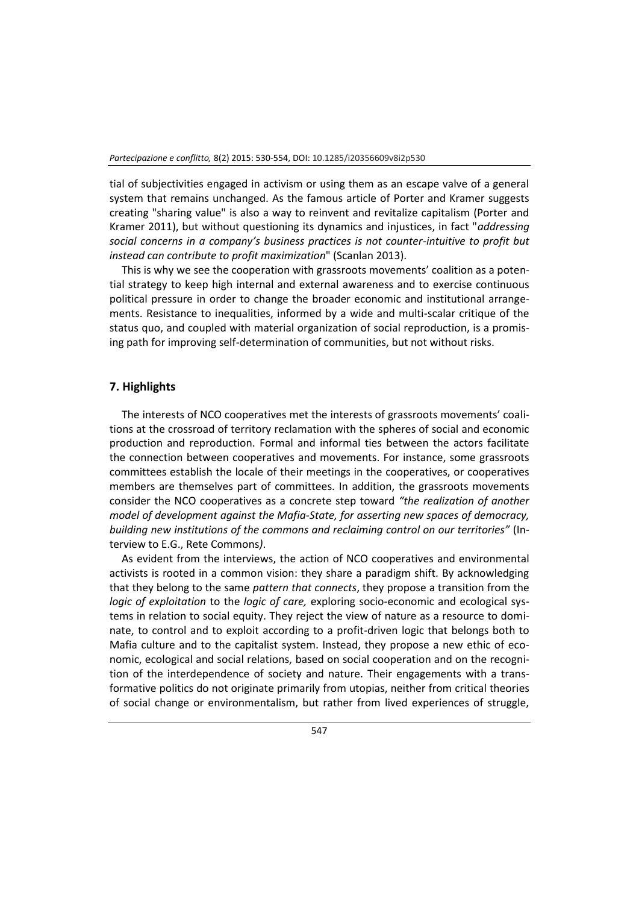tial of subjectivities engaged in activism or using them as an escape valve of a general system that remains unchanged. As the famous article of Porter and Kramer suggests creating "sharing value" is also a way to reinvent and revitalize capitalism (Porter and Kramer 2011), but without questioning its dynamics and injustices, in fact "*addressing social concerns in a company's business practices is not counter-intuitive to profit but instead can contribute to profit maximization*" (Scanlan 2013).

This is why we see the cooperation with grassroots movements' coalition as a potential strategy to keep high internal and external awareness and to exercise continuous political pressure in order to change the broader economic and institutional arrangements. Resistance to inequalities, informed by a wide and multi-scalar critique of the status quo, and coupled with material organization of social reproduction, is a promising path for improving self-determination of communities, but not without risks.

#### **7. Highlights**

The interests of NCO cooperatives met the interests of grassroots movements' coalitions at the crossroad of territory reclamation with the spheres of social and economic production and reproduction. Formal and informal ties between the actors facilitate the connection between cooperatives and movements. For instance, some grassroots committees establish the locale of their meetings in the cooperatives, or cooperatives members are themselves part of committees. In addition, the grassroots movements consider the NCO cooperatives as a concrete step toward *"the realization of another model of development against the Mafia-State, for asserting new spaces of democracy, building new institutions of the commons and reclaiming control on our territories"* (Interview to E.G., Rete Commons*)*.

As evident from the interviews, the action of NCO cooperatives and environmental activists is rooted in a common vision: they share a paradigm shift. By acknowledging that they belong to the same *pattern that connects*, they propose a transition from the *logic of exploitation* to the *logic of care,* exploring socio-economic and ecological systems in relation to social equity. They reject the view of nature as a resource to dominate, to control and to exploit according to a profit-driven logic that belongs both to Mafia culture and to the capitalist system. Instead, they propose a new ethic of economic, ecological and social relations, based on social cooperation and on the recognition of the interdependence of society and nature. Their engagements with a transformative politics do not originate primarily from utopias, neither from critical theories of social change or environmentalism, but rather from lived experiences of struggle,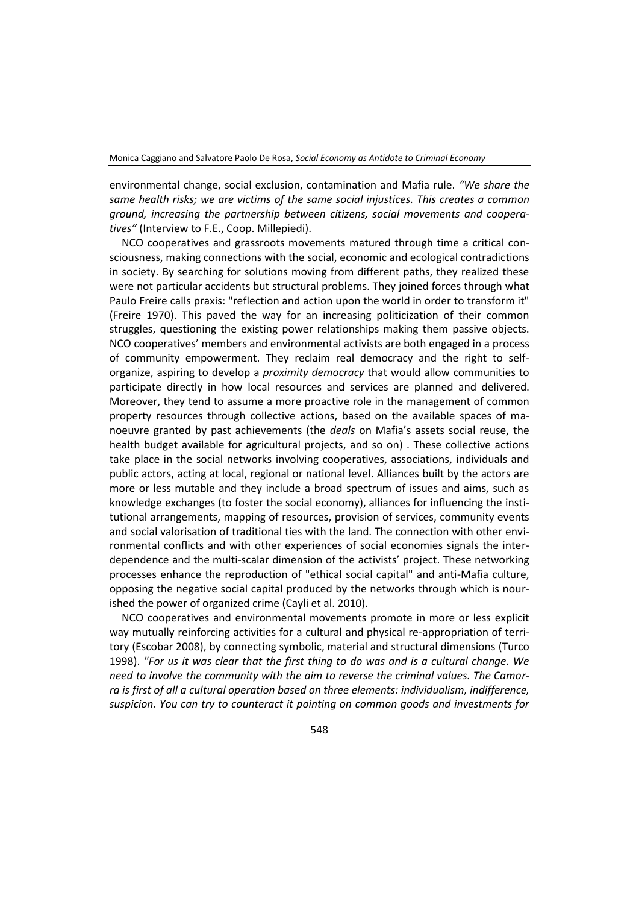environmental change, social exclusion, contamination and Mafia rule. *"We share the same health risks; we are victims of the same social injustices. This creates a common ground, increasing the partnership between citizens, social movements and cooperatives"* (Interview to F.E., Coop. Millepiedi).

NCO cooperatives and grassroots movements matured through time a critical consciousness, making connections with the social, economic and ecological contradictions in society. By searching for solutions moving from different paths, they realized these were not particular accidents but structural problems. They joined forces through what Paulo Freire calls praxis: "reflection and action upon the world in order to transform it" (Freire 1970). This paved the way for an increasing politicization of their common struggles, questioning the existing power relationships making them passive objects. NCO cooperatives' members and environmental activists are both engaged in a process of community empowerment. They reclaim real democracy and the right to selforganize, aspiring to develop a *proximity democracy* that would allow communities to participate directly in how local resources and services are planned and delivered. Moreover, they tend to assume a more proactive role in the management of common property resources through collective actions, based on the available spaces of manoeuvre granted by past achievements (the *deals* on Mafia's assets social reuse, the health budget available for agricultural projects, and so on) . These collective actions take place in the social networks involving cooperatives, associations, individuals and public actors, acting at local, regional or national level. Alliances built by the actors are more or less mutable and they include a broad spectrum of issues and aims, such as knowledge exchanges (to foster the social economy), alliances for influencing the institutional arrangements, mapping of resources, provision of services, community events and social valorisation of traditional ties with the land. The connection with other environmental conflicts and with other experiences of social economies signals the interdependence and the multi-scalar dimension of the activists' project. These networking processes enhance the reproduction of "ethical social capital" and anti-Mafia culture, opposing the negative social capital produced by the networks through which is nourished the power of organized crime (Cayli et al. 2010).

NCO cooperatives and environmental movements promote in more or less explicit way mutually reinforcing activities for a cultural and physical re-appropriation of territory (Escobar 2008), by connecting symbolic, material and structural dimensions (Turco 1998). *"For us it was clear that the first thing to do was and is a cultural change. We need to involve the community with the aim to reverse the criminal values. The Camorra is first of all a cultural operation based on three elements: individualism, indifference, suspicion. You can try to counteract it pointing on common goods and investments for*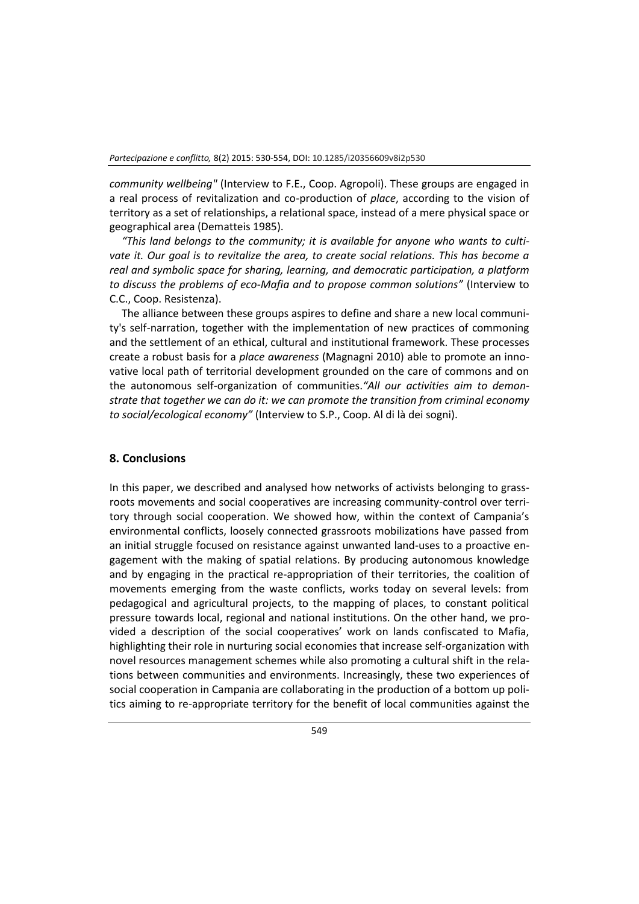*community wellbeing"* (Interview to F.E., Coop. Agropoli). These groups are engaged in a real process of revitalization and co-production of *place*, according to the vision of territory as a set of relationships, a relational space, instead of a mere physical space or geographical area (Dematteis 1985).

*"This land belongs to the community; it is available for anyone who wants to cultivate it. Our goal is to revitalize the area, to create social relations. This has become a real and symbolic space for sharing, learning, and democratic participation, a platform to discuss the problems of eco-Mafia and to propose common solutions"* (Interview to C.C., Coop. Resistenza).

The alliance between these groups aspires to define and share a new local community's self-narration, together with the implementation of new practices of commoning and the settlement of an ethical, cultural and institutional framework. These processes create a robust basis for a *place awareness* (Magnagni 2010) able to promote an innovative local path of territorial development grounded on the care of commons and on the autonomous self-organization of communities.*"All our activities aim to demonstrate that together we can do it: we can promote the transition from criminal economy to social/ecological economy"* (Interview to S.P., Coop. Al di là dei sogni).

## **8. Conclusions**

In this paper, we described and analysed how networks of activists belonging to grassroots movements and social cooperatives are increasing community-control over territory through social cooperation. We showed how, within the context of Campania's environmental conflicts, loosely connected grassroots mobilizations have passed from an initial struggle focused on resistance against unwanted land-uses to a proactive engagement with the making of spatial relations. By producing autonomous knowledge and by engaging in the practical re-appropriation of their territories, the coalition of movements emerging from the waste conflicts, works today on several levels: from pedagogical and agricultural projects, to the mapping of places, to constant political pressure towards local, regional and national institutions. On the other hand, we provided a description of the social cooperatives' work on lands confiscated to Mafia, highlighting their role in nurturing social economies that increase self-organization with novel resources management schemes while also promoting a cultural shift in the relations between communities and environments. Increasingly, these two experiences of social cooperation in Campania are collaborating in the production of a bottom up politics aiming to re-appropriate territory for the benefit of local communities against the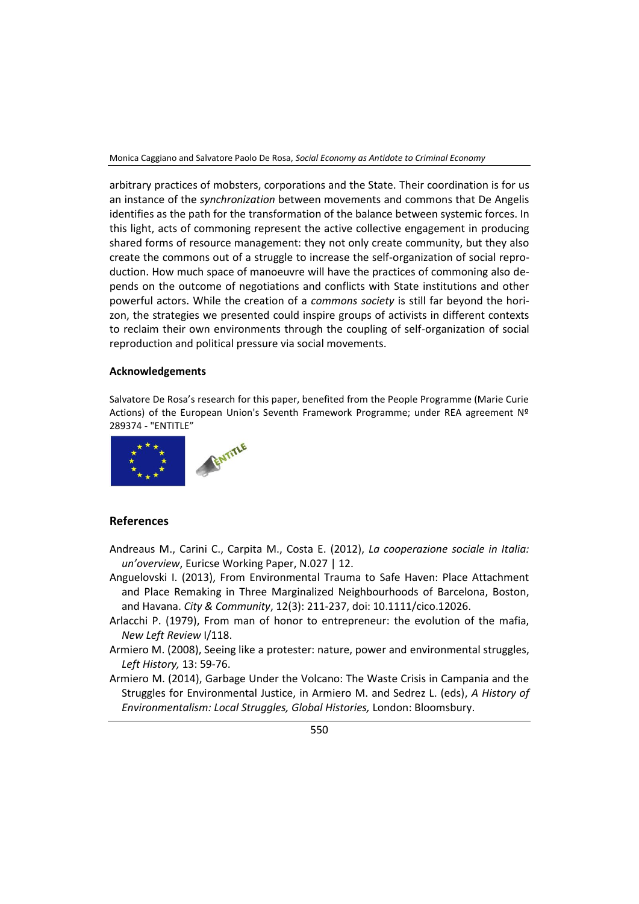arbitrary practices of mobsters, corporations and the State. Their coordination is for us an instance of the *synchronization* between movements and commons that De Angelis identifies as the path for the transformation of the balance between systemic forces. In this light, acts of commoning represent the active collective engagement in producing shared forms of resource management: they not only create community, but they also create the commons out of a struggle to increase the self-organization of social reproduction. How much space of manoeuvre will have the practices of commoning also depends on the outcome of negotiations and conflicts with State institutions and other powerful actors. While the creation of a *commons society* is still far beyond the horizon, the strategies we presented could inspire groups of activists in different contexts to reclaim their own environments through the coupling of self-organization of social reproduction and political pressure via social movements.

#### **Acknowledgements**

Salvatore De Rosa's research for this paper, benefited from the People Programme (Marie Curie Actions) of the European Union's Seventh Framework Programme; under REA agreement Nº 289374 - "ENTITLE"



#### **References**

Andreaus M., Carini C., Carpita M., Costa E. (2012), *La cooperazione sociale in Italia: un'overview*, Euricse Working Paper, N.027 | 12.

- Anguelovski I. (2013), From Environmental Trauma to Safe Haven: Place Attachment and Place Remaking in Three Marginalized Neighbourhoods of Barcelona, Boston, and Havana. *City & Community*, 12(3): 211-237, doi: 10.1111/cico.12026.
- Arlacchi P. (1979), From man of honor to entrepreneur: the evolution of the mafia, *New Left Review* I/118.
- Armiero M. (2008), Seeing like a protester: nature, power and environmental struggles, *Left History,* 13: 59-76.
- Armiero M. (2014), Garbage Under the Volcano: The Waste Crisis in Campania and the Struggles for Environmental Justice, in Armiero M. and Sedrez L. (eds), *A History of Environmentalism: Local Struggles, Global Histories,* London: Bloomsbury.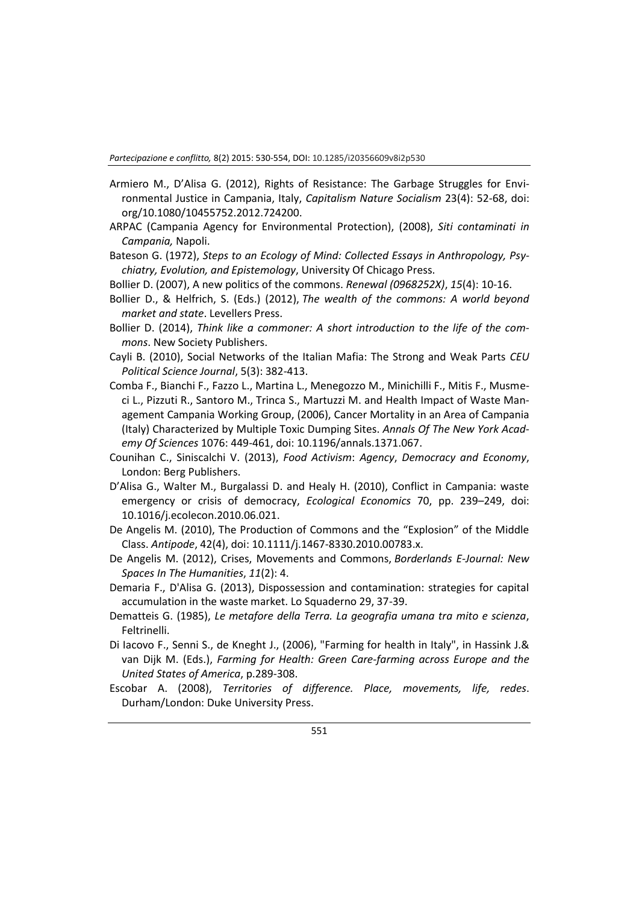- Armiero M., D'Alisa G. (2012), Rights of Resistance: The Garbage Struggles for Environmental Justice in Campania, Italy, *Capitalism Nature Socialism* 23(4): 52-68, doi: org/10.1080/10455752.2012.724200.
- ARPAC (Campania Agency for Environmental Protection), (2008), *Siti contaminati in Campania,* Napoli.
- Bateson G. (1972), *Steps to an Ecology of Mind: Collected Essays in Anthropology, Psychiatry, Evolution, and Epistemology*, University Of Chicago Press.
- Bollier D. (2007), A new politics of the commons. *Renewal (0968252X)*, *15*(4): 10-16.
- Bollier D., & Helfrich, S. (Eds.) (2012), *The wealth of the commons: A world beyond market and state*. Levellers Press.
- Bollier D. (2014), *Think like a commoner: A short introduction to the life of the commons*. New Society Publishers.
- Cayli B. (2010), Social Networks of the Italian Mafia: The Strong and Weak Parts *CEU Political Science Journal*, 5(3): 382-413.
- Comba F., Bianchi F., Fazzo L., Martina L., Menegozzo M., Minichilli F., Mitis F., Musmeci L., Pizzuti R., Santoro M., Trinca S., Martuzzi M. and Health Impact of Waste Management Campania Working Group, (2006), Cancer Mortality in an Area of Campania (Italy) Characterized by Multiple Toxic Dumping Sites. *Annals Of The New York Academy Of Sciences* 1076: 449-461, doi: 10.1196/annals.1371.067.
- Counihan C., Siniscalchi V. (2013), *Food Activism*: *Agency*, *Democracy and Economy*, London: Berg Publishers.
- D'Alisa G., Walter M., Burgalassi D. and Healy H. (2010), Conflict in Campania: waste emergency or crisis of democracy, *Ecological Economics* 70, pp. 239–249, doi: 10.1016/j.ecolecon.2010.06.021.
- De Angelis M. (2010), The Production of Commons and the "Explosion" of the Middle Class. *Antipode*, 42(4), doi: 10.1111/j.1467-8330.2010.00783.x.
- De Angelis M. (2012), Crises, Movements and Commons, *Borderlands E-Journal: New Spaces In The Humanities*, *11*(2): 4.
- Demaria F., D'Alisa G. (2013), Dispossession and contamination: strategies for capital accumulation in the waste market. Lo Squaderno 29, 37-39.
- Dematteis G. (1985), *Le metafore della Terra. La geografia umana tra mito e scienza*, Feltrinelli.
- Di Iacovo F., Senni S., de Kneght J., (2006), "Farming for health in Italy", in Hassink J.& van Dijk M. (Eds.), *Farming for Health: Green Care-farming across Europe and the United States of America*, p.289-308.
- Escobar A. (2008), *Territories of difference. Place, movements, life, redes*. Durham/London: Duke University Press.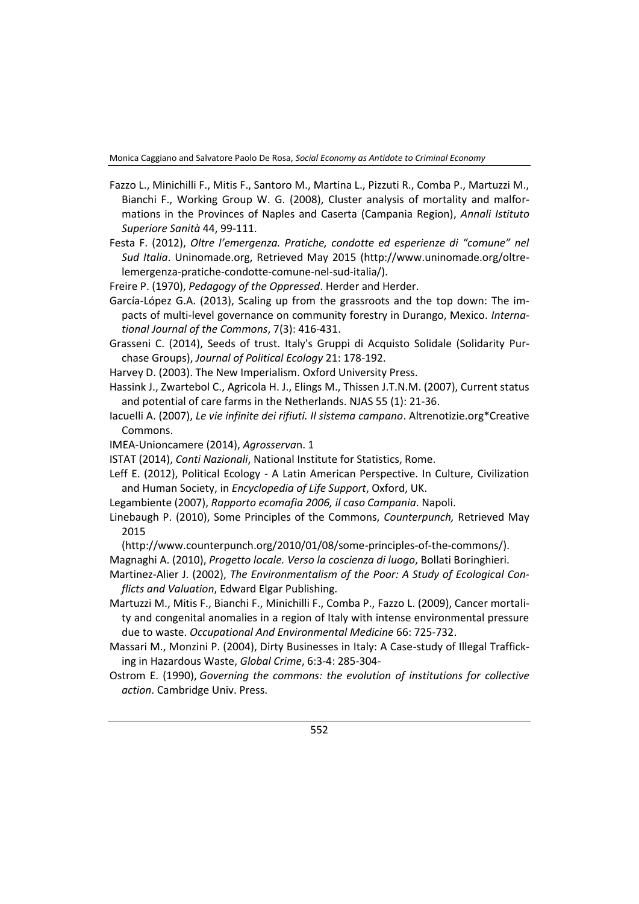- Fazzo L., Minichilli F., Mitis F., Santoro M., Martina L., Pizzuti R., Comba P., Martuzzi M., Bianchi F., Working Group W. G. (2008), Cluster analysis of mortality and malformations in the Provinces of Naples and Caserta (Campania Region), *Annali Istituto Superiore Sanità* 44, 99-111.
- Festa F. (2012), *Oltre l'emergenza. Pratiche, condotte ed esperienze di "comune" nel Sud Italia*. Uninomade.org, Retrieved May 2015 (http://www.uninomade.org/oltrelemergenza-pratiche-condotte-comune-nel-sud-italia/).
- Freire P. (1970), *Pedagogy of the Oppressed*. Herder and Herder.
- García-López G.A. (2013), Scaling up from the grassroots and the top down: The impacts of multi-level governance on community forestry in Durango, Mexico. *International Journal of the Commons*, 7(3): 416-431.
- Grasseni C. (2014), Seeds of trust. Italy's Gruppi di Acquisto Solidale (Solidarity Purchase Groups), *Journal of Political Ecology* 21: 178-192.
- Harvey D. (2003). The New Imperialism. Oxford University Press.
- Hassink J., Zwartebol C., Agricola H. J., Elings M., Thissen J.T.N.M. (2007), Current status and potential of care farms in the Netherlands. NJAS 55 (1): 21-36.
- Iacuelli A. (2007), *Le vie infinite dei rifiuti. Il sistema campano*. Altrenotizie.org\*Creative Commons.
- IMEA‐Unioncamere (2014), *Agrosserva*n. 1
- ISTAT (2014), *Conti Nazionali*, National Institute for Statistics, Rome.
- Leff E. (2012), Political Ecology A Latin American Perspective. In Culture, Civilization and Human Society, in *Encyclopedia of Life Support*, Oxford, UK.
- Legambiente (2007), *Rapporto ecomafia 2006, il caso Campania*. Napoli.
- Linebaugh P. (2010), Some Principles of the Commons, *Counterpunch,* Retrieved May 2015
	- (http://www.counterpunch.org/2010/01/08/some-principles-of-the-commons/).

Magnaghi A. (2010), *Progetto locale. Verso la coscienza di luogo*, Bollati Boringhieri.

- Martinez-Alier J. (2002), *The Environmentalism of the Poor: A Study of Ecological Conflicts and Valuation*, Edward Elgar Publishing.
- Martuzzi M., Mitis F., Bianchi F., Minichilli F., Comba P., Fazzo L. (2009), Cancer mortality and congenital anomalies in a region of Italy with intense environmental pressure due to waste. *Occupational And Environmental Medicine* 66: 725-732.
- Massari M., Monzini P. (2004), Dirty Businesses in Italy: A Case-study of Illegal Trafficking in Hazardous Waste, *Global Crime*, 6:3-4: 285-304-
- Ostrom E. (1990), *Governing the commons: the evolution of institutions for collective action*. Cambridge Univ. Press.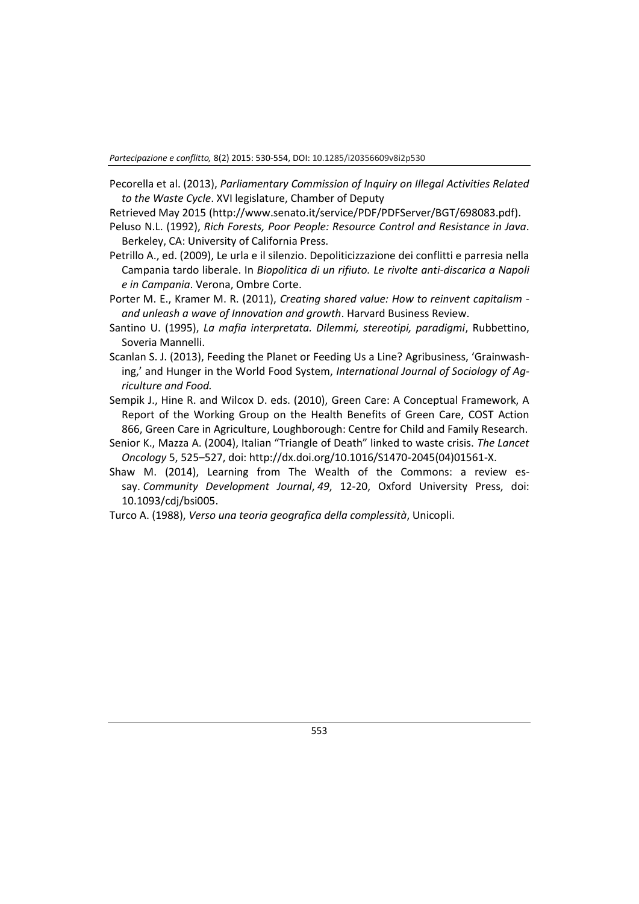*Partecipazione e conflitto,* 8(2) 2015: 530-554, DOI: 10.1285/i20356609v8i2p530

- Pecorella et al. (2013), *Parliamentary Commission of Inquiry on Illegal Activities Related to the Waste Cycle*. XVI legislature, Chamber of Deputy
- Retrieved May 2015 (http://www.senato.it/service/PDF/PDFServer/BGT/698083.pdf).
- Peluso N.L. (1992), *Rich Forests, Poor People: Resource Control and Resistance in Java*. Berkeley, CA: University of California Press.
- Petrillo A., ed. (2009), Le urla e il silenzio. Depoliticizzazione dei conflitti e parresia nella Campania tardo liberale. In *Biopolitica di un rifiuto. Le rivolte anti-discarica a Napoli e in Campania*. Verona, Ombre Corte.
- Porter M. E., Kramer M. R. (2011), *Creating shared value: How to reinvent capitalism and unleash a wave of Innovation and growth*. Harvard Business Review.
- Santino U. (1995), *La mafia interpretata. Dilemmi, stereotipi, paradigmi*, Rubbettino, Soveria Mannelli.
- Scanlan S. J. (2013), Feeding the Planet or Feeding Us a Line? Agribusiness, 'Grainwashing,' and Hunger in the World Food System, *International Journal of Sociology of Agriculture and Food.*
- Sempik J., Hine R. and Wilcox D. eds. (2010), Green Care: A Conceptual Framework, A Report of the Working Group on the Health Benefits of Green Care, COST Action 866, Green Care in Agriculture, Loughborough: Centre for Child and Family Research.
- Senior K., Mazza A. (2004), Italian "Triangle of Death" linked to waste crisis. *The Lancet Oncology* 5, 525–527, doi: http://dx.doi.org/10.1016/S1470-2045(04)01561-X.
- Shaw M. (2014), Learning from The Wealth of the Commons: a review essay. *Community Development Journal*, *49*, 12-20, Oxford University Press, doi: 10.1093/cdj/bsi005.
- Turco A. (1988), *Verso una teoria geografica della complessità*, Unicopli.